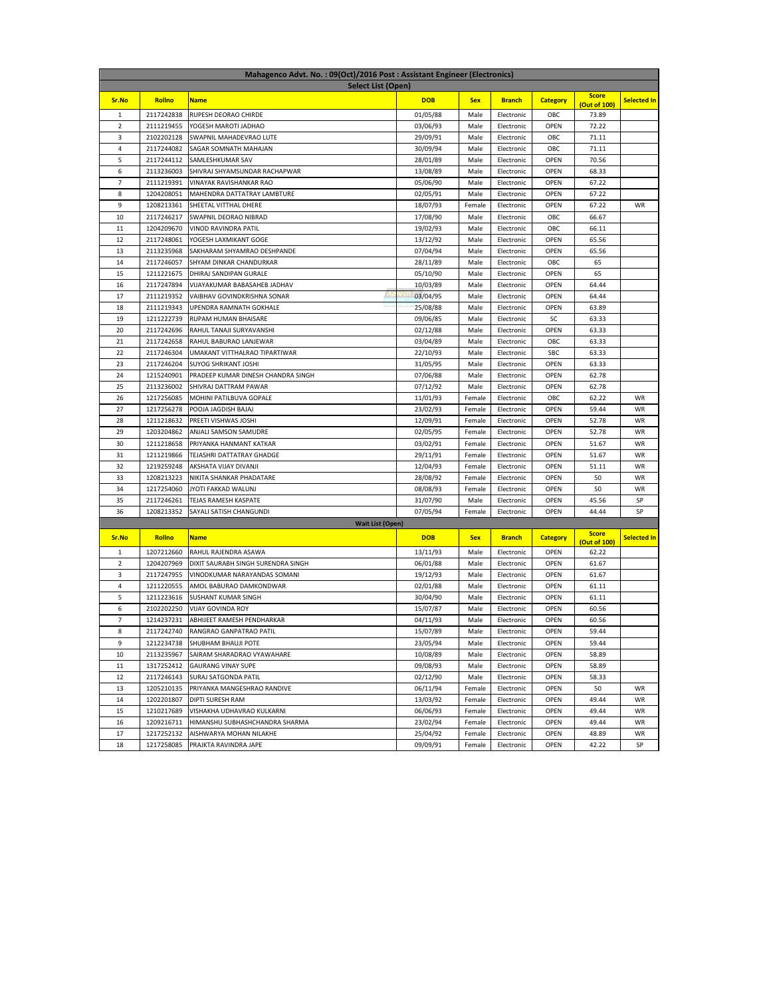| Mahagenco Advt. No.: 09(Oct)/2016 Post: Assistant Engineer (Electronics) |            |                                    |            |            |               |                 |                       |                    |  |
|--------------------------------------------------------------------------|------------|------------------------------------|------------|------------|---------------|-----------------|-----------------------|--------------------|--|
| Select List (Open)                                                       |            |                                    |            |            |               |                 |                       |                    |  |
| Sr.No                                                                    | Rollno     | <b>Name</b>                        | <b>DOB</b> | <b>Sex</b> | <b>Branch</b> | <b>Category</b> | <b>Score</b>          | <b>Selected In</b> |  |
| 1                                                                        | 2117242838 | RUPESH DEORAO CHIRDE               | 01/05/88   | Male       | Electronic    | OBC             | (Out of 100)<br>73.89 |                    |  |
| $\overline{2}$                                                           | 2111219455 | YOGESH MAROTI JADHAO               | 03/06/93   | Male       | Electronic    | OPEN            | 72.22                 |                    |  |
| 3                                                                        | 2102202128 | SWAPNIL MAHADEVRAO LUTE            | 29/09/91   | Male       | Electronic    | OBC             | 71.11                 |                    |  |
| $\overline{4}$                                                           | 2117244082 | SAGAR SOMNATH MAHAJAN              | 30/09/94   | Male       | Electronic    | OBC             | 71.11                 |                    |  |
| 5                                                                        | 2117244112 | SAMLESHKUMAR SAV                   | 28/01/89   | Male       | Electronic    | OPEN            | 70.56                 |                    |  |
| 6                                                                        | 2113236003 | SHIVRAJ SHYAMSUNDAR RACHAPWAR      | 13/08/89   | Male       | Electronic    | OPEN            | 68.33                 |                    |  |
| 7                                                                        | 2111219391 | VINAYAK RAVISHANKAR RAO            | 05/06/90   | Male       | Electronic    | OPEN            | 67.22                 |                    |  |
| 8                                                                        | 1204208051 | MAHENDRA DATTATRAY LAMBTURE        | 02/05/91   | Male       | Electronic    | OPEN            | 67.22                 |                    |  |
| 9                                                                        | 1208213361 | SHEETAL VITTHAL DHERE              | 18/07/93   | Female     | Electronic    | OPEN            | 67.22                 | WR                 |  |
| 10                                                                       | 2117246217 | SWAPNIL DEORAO NIBRAD              | 17/08/90   | Male       | Electronic    | OBC             | 66.67                 |                    |  |
| 11                                                                       | 1204209670 | VINOD RAVINDRA PATIL               | 19/02/93   | Male       | Electronic    | OBC             | 66.11                 |                    |  |
| 12                                                                       | 2117248061 | YOGESH LAXMIKANT GOGE              | 13/12/92   | Male       | Electronic    | OPEN            | 65.56                 |                    |  |
| 13                                                                       | 2113235968 | SAKHARAM SHYAMRAO DESHPANDE        | 07/04/94   | Male       | Electronic    | OPEN            | 65.56                 |                    |  |
| 14                                                                       | 2117246057 | SHYAM DINKAR CHANDURKAR            | 28/11/89   | Male       | Electronic    | OBC             | 65                    |                    |  |
| 15                                                                       | 1211221675 | DHIRAJ SANDIPAN GURALE             | 05/10/90   | Male       | Electronic    | OPEN            | 65                    |                    |  |
| 16                                                                       | 2117247894 | VIJAYAKUMAR BABASAHEB JADHAV       | 10/03/89   | Male       | Electronic    | OPEN            | 64.44                 |                    |  |
| 17                                                                       | 2111219352 | VAIBHAV GOVINDKRISHNA SONAR        | 03/04/95   | Male       | Electronic    | OPEN            | 64.44                 |                    |  |
| 18                                                                       | 2111219343 | UPENDRA RAMNATH GOKHALE            | 25/08/88   | Male       | Electronic    | OPEN            | 63.89                 |                    |  |
| 19                                                                       | 1211222739 | RUPAM HUMAN BHAISARE               | 09/06/85   | Male       | Electronic    | SC              | 63.33                 |                    |  |
| 20                                                                       | 2117242696 | RAHUL TANAJI SURYAVANSHI           | 02/12/88   | Male       | Electronic    | OPEN            | 63.33                 |                    |  |
| 21                                                                       | 2117242658 | RAHUL BABURAO LANJEWAR             | 03/04/89   | Male       | Electronic    | OBC             | 63.33                 |                    |  |
| 22                                                                       | 2117246304 | UMAKANT VITTHALRAO TIPARTIWAR      | 22/10/93   | Male       | Electronic    | <b>SBC</b>      | 63.33                 |                    |  |
| 23                                                                       | 2117246204 | SUYOG SHRIKANT JOSHI               | 31/05/95   | Male       | Electronic    | OPEN            | 63.33                 |                    |  |
| 24                                                                       | 1215240901 | PRADEEP KUMAR DINESH CHANDRA SINGH | 07/06/88   | Male       | Electronic    | OPEN            | 62.78                 |                    |  |
| 25                                                                       | 2113236002 | SHIVRAJ DATTRAM PAWAR              | 07/12/92   | Male       | Electronic    | OPEN            | 62.78                 |                    |  |
| 26                                                                       | 1217256085 | MOHINI PATILBUVA GOPALE            | 11/01/93   | Female     | Electronic    | OBC             | 62.22                 | WR                 |  |
| 27                                                                       | 1217256278 | POOJA JAGDISH BAJAJ                | 23/02/93   | Female     | Electronic    | OPEN            | 59.44                 | WR                 |  |
| 28                                                                       | 1211218632 | PREETI VISHWAS JOSHI               | 12/09/91   | Female     | Electronic    | OPEN            | 52.78                 | WR                 |  |
| 29                                                                       | 1203204862 | ANJALI SAMSON SAMUDRE              | 02/05/95   | Female     | Electronic    | OPEN            | 52.78                 | WR                 |  |
| 30                                                                       | 1211218658 | PRIYANKA HANMANT KATKAR            | 03/02/91   | Female     | Electronic    | OPEN            | 51.67                 | WR                 |  |
| 31                                                                       | 1211219866 | TEJASHRI DATTATRAY GHADGE          | 29/11/91   | Female     | Electronic    | OPEN            | 51.67                 | WR                 |  |
| 32                                                                       | 1219259248 | AKSHATA VIJAY DIVANJI              | 12/04/93   | Female     | Electronic    | OPEN            | 51.11                 | WR                 |  |
| 33                                                                       | 1208213223 | NIKITA SHANKAR PHADATARE           | 28/08/92   | Female     | Electronic    | OPEN            | 50                    | WR                 |  |
| 34                                                                       | 1217254060 | JYOTI FAKKAD WALUNJ                | 08/08/93   | Female     | Electronic    | OPEN            | 50                    | WR                 |  |
| 35                                                                       | 2117246261 | TEJAS RAMESH KASPATE               | 31/07/90   | Male       | Electronic    | OPEN            | 45.56                 | SP                 |  |
| 36                                                                       | 1208213352 | SAYALI SATISH CHANGUNDI            | 07/05/94   | Female     | Electronic    | OPEN            | 44.44                 | SP                 |  |
|                                                                          |            | <b>Wait List (Open)</b>            |            |            |               |                 | <b>Score</b>          |                    |  |
| Sr.No                                                                    | Rollno     | <b>Name</b>                        | <b>DOB</b> | <b>Sex</b> | <b>Branch</b> | <b>Category</b> | (Out of 100)          | <b>Selected In</b> |  |
| $\mathbf{1}$                                                             | 1207212660 | RAHUL RAJENDRA ASAWA               | 13/11/93   | Male       | Electronic    | OPEN            | 62.22                 |                    |  |
| 2                                                                        | 1204207969 | DIXIT SAURABH SINGH SURENDRA SINGH | 06/01/88   | Male       | Electronic    | OPEN            | 61.67                 |                    |  |
| 3                                                                        | 2117247955 | VINODKUMAR NARAYANDAS SOMANI       | 19/12/93   | Male       | Electronic    | OPEN            | 61.67                 |                    |  |
| 4                                                                        | 1211220555 | AMOL BABURAO DAMKONDWAR            | 02/01/88   | Male       | Electronic    | OPEN            | 61.11                 |                    |  |
| 5                                                                        | 1211223616 | SUSHANT KUMAR SINGH                | 30/04/90   | Male       | Electronic    | OPEN            | 61.11                 |                    |  |
| 6                                                                        | 2102202250 | <b>VIJAY GOVINDA ROY</b>           | 15/07/87   | Male       | Electronic    | OPEN            | 60.56                 |                    |  |
| $\overline{7}$                                                           | 1214237231 | ABHIJEET RAMESH PENDHARKAR         | 04/11/93   | Male       | Electronic    | OPEN            | 60.56                 |                    |  |
| 8                                                                        |            | 2117242740 RANGRAO GANPATRAO PATIL | 15/07/89   | Male       | Electronic    | OPEN            | 59.44                 |                    |  |
| 9                                                                        | 1212234738 | SHUBHAM BHAUJI POTE                | 23/05/94   | Male       | Electronic    | OPEN            | 59.44                 |                    |  |
| 10                                                                       | 2113235967 | SAIRAM SHARADRAO VYAWAHARE         | 10/08/89   | Male       | Electronic    | OPEN            | 58.89                 |                    |  |
| 11                                                                       | 1317252412 | <b>GAURANG VINAY SUPE</b>          | 09/08/93   | Male       | Electronic    | OPEN            | 58.89                 |                    |  |
| 12                                                                       | 2117246143 | SURAJ SATGONDA PATIL               | 02/12/90   | Male       | Electronic    | OPEN            | 58.33                 |                    |  |
| 13                                                                       | 1205210135 | PRIYANKA MANGESHRAO RANDIVE        | 06/11/94   | Female     | Electronic    | OPEN            | 50                    | WR                 |  |
| 14                                                                       | 1202201807 | DIPTI SURESH RAM                   | 13/03/92   | Female     | Electronic    | OPEN            | 49.44                 | WR                 |  |
| 15                                                                       | 1210217689 | VISHAKHA UDHAVRAO KULKARNI         | 06/06/93   | Female     | Electronic    | OPEN            | 49.44                 | WR                 |  |
| 16                                                                       | 1209216711 | HIMANSHU SUBHASHCHANDRA SHARMA     | 23/02/94   | Female     | Electronic    | OPEN            | 49.44                 | WR                 |  |
| 17                                                                       | 1217252132 | AISHWARYA MOHAN NILAKHE            | 25/04/92   | Female     | Electronic    | OPEN            | 48.89                 | WR                 |  |
| 18                                                                       | 1217258085 | PRAJKTA RAVINDRA JAPE              | 09/09/91   | Female     | Electronic    | OPEN            | 42.22                 | SP                 |  |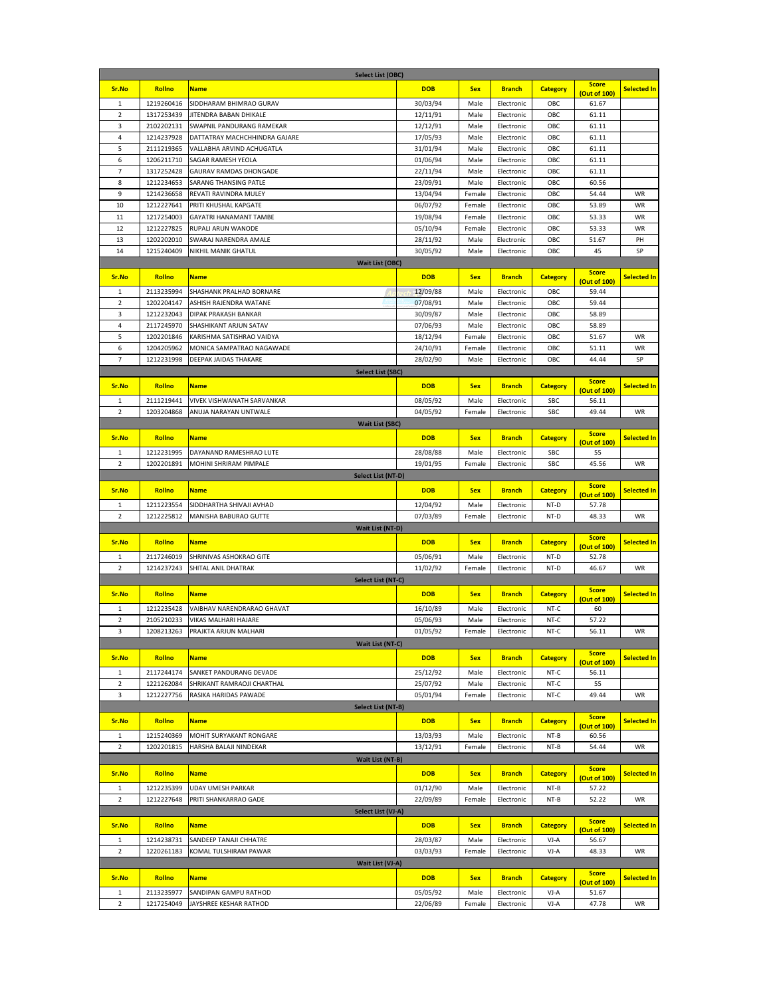| <b>Select List (OBC)</b>       |                          |                                                          |                      |              |                          |                 |                              |                    |
|--------------------------------|--------------------------|----------------------------------------------------------|----------------------|--------------|--------------------------|-----------------|------------------------------|--------------------|
| Sr.No                          | Rollno                   | <b>Name</b>                                              | <b>DOB</b>           | <b>Sex</b>   | <b>Branch</b>            | <b>Category</b> | <b>Score</b>                 | <b>Selected In</b> |
| $\mathbf{1}$                   |                          |                                                          |                      |              |                          |                 | (Out of 100)                 |                    |
| $\overline{2}$                 | 1219260416<br>1317253439 | SIDDHARAM BHIMRAO GURAV<br><b>JITENDRA BABAN DHIKALE</b> | 30/03/94             | Male         | Electronic               | OBC<br>OBC      | 61.67<br>61.11               |                    |
| 3                              | 2102202131               | SWAPNIL PANDURANG RAMEKAR                                | 12/11/91             | Male<br>Male | Electronic<br>Electronic | OBC             | 61.11                        |                    |
| $\overline{4}$                 | 1214237928               | DATTATRAY MACHCHHINDRA GAJARE                            | 12/12/91<br>17/05/93 | Male         | Electronic               | OBC             | 61.11                        |                    |
| 5                              | 2111219365               | VALLABHA ARVIND ACHUGATLA                                | 31/01/94             | Male         | Electronic               | OBC             | 61.11                        |                    |
| 6                              | 1206211710               | SAGAR RAMESH YEOLA                                       | 01/06/94             | Male         | Electronic               | OBC             | 61.11                        |                    |
| $\overline{7}$                 | 1317252428               | GAURAV RAMDAS DHONGADE                                   | 22/11/94             | Male         | Electronic               | OBC             | 61.11                        |                    |
| 8                              | 1212234653               | SARANG THANSING PATLE                                    | 23/09/91             | Male         | Electronic               | OBC             | 60.56                        |                    |
| 9                              | 1214236658               | REVATI RAVINDRA MULEY                                    | 13/04/94             | Female       | Electronic               | OBC             | 54.44                        | WR                 |
| 10                             | 1212227641               | PRITI KHUSHAL KAPGATE                                    | 06/07/92             | Female       | Electronic               | OBC             | 53.89                        | WR                 |
| 11                             | 1217254003               | GAYATRI HANAMANT TAMBE                                   | 19/08/94             | Female       | Electronic               | OBC             | 53.33                        | WR                 |
| 12                             | 1212227825               | RUPALI ARUN WANODE                                       | 05/10/94             | Female       | Electronic               | OBC             | 53.33                        | WR                 |
| 13                             | 1202202010               | SWARAJ NARENDRA AMALE                                    | 28/11/92             | Male         | Electronic               | OBC             | 51.67                        | PH                 |
| 14                             | 1215240409               | NIKHIL MANIK GHATUL                                      | 30/05/92             | Male         | Electronic               | OBC             | 45                           | SP                 |
|                                |                          | <b>Wait List (OBC)</b>                                   |                      |              |                          |                 |                              |                    |
|                                |                          |                                                          |                      |              |                          |                 | <b>Score</b>                 |                    |
| Sr.No                          | Rollno                   | <b>Name</b>                                              | <b>DOB</b>           | <b>Sex</b>   | <b>Branch</b>            | <b>Category</b> | (Out of 100)                 | <b>Selected In</b> |
| $\mathbf{1}$                   | 2113235994               | SHASHANK PRALHAD BORNARE                                 | 12/09/88             | Male         | Electronic               | OBC             | 59.44                        |                    |
| $\overline{2}$                 | 1202204147               | ASHISH RAJENDRA WATANE                                   | 07/08/91             | Male         | Electronic               | OBC             | 59.44                        |                    |
| 3                              | 1212232043               | DIPAK PRAKASH BANKAR                                     | 30/09/87             | Male         | Electronic               | OBC             | 58.89                        |                    |
| 4                              | 2117245970               | SHASHIKANT ARJUN SATAV                                   | 07/06/93             | Male         | Electronic               | OBC             | 58.89                        |                    |
| 5                              | 1202201846               | KARISHMA SATISHRAO VAIDYA                                | 18/12/94             | Female       | Electronic               | OBC             | 51.67                        | WR                 |
| 6                              | 1204205962               | MONICA SAMPATRAO NAGAWADE                                | 24/10/91             | Female       | Electronic               | OBC             | 51.11                        | WR                 |
| $\overline{7}$                 | 1212231998               | DEEPAK JAIDAS THAKARE                                    | 28/02/90             | Male         | Electronic               | OBC             | 44.44                        | SP                 |
|                                |                          | <b>Select List (SBC)</b>                                 |                      |              |                          |                 |                              |                    |
| Sr.No                          | Rollno                   | <b>Name</b>                                              | <b>DOB</b>           | <b>Sex</b>   | <b>Branch</b>            | <b>Category</b> | <b>Score</b>                 | <b>Selected In</b> |
|                                |                          |                                                          |                      |              |                          |                 | (Out of 100)                 |                    |
| 1                              | 2111219441               | VIVEK VISHWANATH SARVANKAR                               | 08/05/92             | Male         | Electronic               | SBC             | 56.11                        |                    |
| $\overline{2}$                 | 1203204868               | ANUJA NARAYAN UNTWALE                                    | 04/05/92             | Female       | Electronic               | <b>SBC</b>      | 49.44                        | WR                 |
|                                |                          | <b>Wait List (SBC)</b>                                   |                      |              |                          |                 |                              |                    |
| Sr.No                          | Rollno                   | <b>Name</b>                                              | <b>DOB</b>           | <b>Sex</b>   | <b>Branch</b>            | <b>Category</b> | <b>Score</b><br>(Out of 100) | <b>Selected In</b> |
| 1                              | 1212231995               | DAYANAND RAMESHRAO LUTE                                  | 28/08/88             | Male         | Electronic               | <b>SBC</b>      | 55                           |                    |
| 2                              | 1202201891               | MOHINI SHRIRAM PIMPALE                                   | 19/01/95             | Female       | Electronic               | <b>SBC</b>      | 45.56                        | WR                 |
|                                |                          | Select List (NT-D)                                       |                      |              |                          |                 |                              |                    |
| Sr.No                          | Rollno                   | <b>Name</b>                                              | <b>DOB</b>           | <b>Sex</b>   | <b>Branch</b>            |                 | <b>Score</b>                 | <b>Selected In</b> |
|                                |                          |                                                          |                      |              |                          | <b>Category</b> | (Out of 100)                 |                    |
| $\mathbf{1}$                   | 1211223554               | SIDDHARTHA SHIVAJI AVHAD                                 | 12/04/92             | Male         | Electronic               | NT-D            | 57.78                        |                    |
| $\overline{2}$                 | 1212225812               | MANISHA BABURAO GUTTE                                    | 07/03/89             | Female       | Electronic               | NT-D            | 48.33                        | <b>WR</b>          |
|                                |                          | <b>Wait List (NT-D)</b>                                  |                      |              |                          |                 |                              |                    |
| Sr.No                          | Rollno                   | <b>Name</b>                                              | <b>DOB</b>           | <b>Sex</b>   | <b>Branch</b>            | <b>Category</b> | <b>Score</b><br>(Out of 100) | <b>Selected In</b> |
| $\mathbf{1}$                   | 2117246019               | SHRINIVAS ASHOKRAO GITE                                  | 05/06/91             | Male         | Electronic               | NT-D            | 52.78                        |                    |
| $\overline{2}$                 | 1214237243               | SHITAL ANIL DHATRAK                                      | 11/02/92             | Female       | Electronic               | NT-D            | 46.67                        | WR                 |
|                                |                          | Select List (NT-C)                                       |                      |              |                          |                 |                              |                    |
|                                |                          |                                                          |                      |              |                          |                 | <b>Score</b>                 |                    |
| Sr.No                          | Rollno                   | <b>Name</b>                                              | <b>DOB</b>           | <b>Sex</b>   | <b>Branch</b>            | <b>Category</b> | (Out of 100)                 | <b>Selected In</b> |
| $\mathbf{1}$                   | 1212235428               | VAIBHAV NARENDRARAO GHAVAT                               | 16/10/89             | Male         | Electronic               | NT-C            | 60                           |                    |
| $\overline{2}$                 | 2105210233               | VIKAS MALHARI HAJARE                                     | 05/06/93             | Male         | Electronic               | NT-C            | 57.22                        |                    |
| 3                              |                          | 1208213263 PRAJKTA ARJUN MALHARI                         | 01/05/92             | Female       | Electronic               | NT-C            | 56.11                        | WR                 |
|                                |                          | Wait List (NT-C)                                         |                      |              |                          |                 |                              |                    |
| Sr.No                          | <b>Rollno</b>            | <b>Name</b>                                              | <b>DOB</b>           | <b>Sex</b>   | <b>Branch</b>            | <b>Category</b> | <b>Score</b>                 | <b>Selected In</b> |
|                                |                          |                                                          | 25/12/92             |              |                          |                 | (Out of 100)                 |                    |
| $\mathbf{1}$<br>$\overline{2}$ | 2117244174<br>1221262084 | SANKET PANDURANG DEVADE<br>SHRIKANT RAMRAOJI CHARTHAL    | 25/07/92             | Male<br>Male | Electronic<br>Electronic | NT-C<br>NT-C    | 56.11<br>55                  |                    |
| 3                              | 1212227756               | RASIKA HARIDAS PAWADE                                    | 05/01/94             | Female       | Electronic               | NT-C            | 49.44                        | WR                 |
|                                |                          | <b>Select List (NT-B)</b>                                |                      |              |                          |                 |                              |                    |
|                                |                          |                                                          |                      |              |                          |                 | <b>Score</b>                 |                    |
| Sr.No                          | Rollno                   | <b>Name</b>                                              | <b>DOB</b>           | <b>Sex</b>   | <b>Branch</b>            | <b>Category</b> | (Out of 100)                 | <b>Selected In</b> |
| 1                              | 1215240369               | MOHIT SURYAKANT RONGARE                                  | 13/03/93             | Male         | Electronic               | NT-B            | 60.56                        |                    |
| 2                              | 1202201815               | HARSHA BALAJI NINDEKAR                                   | 13/12/91             | Female       | Electronic               | NT-B            | 54.44                        | WR                 |
|                                |                          | Wait List (NT-B)                                         |                      |              |                          |                 |                              |                    |
| Sr.No                          | Rollno                   | <b>Name</b>                                              | <b>DOB</b>           | <b>Sex</b>   | <b>Branch</b>            | <b>Category</b> | <b>Score</b>                 | <b>Selected In</b> |
|                                |                          |                                                          |                      |              |                          |                 | (Out of 100)                 |                    |
| $\mathbf{1}$                   | 1212235399               | UDAY UMESH PARKAR                                        | 01/12/90             | Male         | Electronic               | NT-B            | 57.22                        |                    |
| $\overline{2}$                 | 1212227648               | PRITI SHANKARRAO GADE                                    | 22/09/89             | Female       | Electronic               | NT-B            | 52.22                        | WR                 |
| Select List (VJ-A)             |                          |                                                          |                      |              |                          |                 |                              |                    |
| Sr.No                          | Rollno                   | <b>Name</b>                                              | <b>DOB</b>           | <b>Sex</b>   | <b>Branch</b>            | <b>Category</b> | <b>Score</b><br>(Out of 100) | <b>Selected In</b> |
| $\mathbf{1}$                   | 1214238731               | SANDEEP TANAJI CHHATRE                                   | 28/03/87             | Male         | Electronic               | VJ-A            | 56.67                        |                    |
| $\overline{2}$                 | 1220261183               | KOMAL TULSHIRAM PAWAR                                    | 03/03/93             | Female       | Electronic               | VJ-A            | 48.33                        | WR                 |
| Wait List (VJ-A)               |                          |                                                          |                      |              |                          |                 |                              |                    |
| Sr.No                          | Rollno                   | <b>Name</b>                                              | <b>DOB</b>           | <b>Sex</b>   | <b>Branch</b>            | <b>Category</b> | <b>Score</b>                 | <b>Selected In</b> |
|                                |                          |                                                          |                      |              |                          |                 | (Out of 100)                 |                    |
| $\mathbf{1}$                   | 2113235977               | SANDIPAN GAMPU RATHOD                                    | 05/05/92             | Male         | Electronic               | VJ-A            | 51.67                        |                    |
| $\mathbf 2$                    | 1217254049               | JAYSHREE KESHAR RATHOD                                   | 22/06/89             | Female       | Electronic               | VJ-A            | 47.78                        | WR                 |